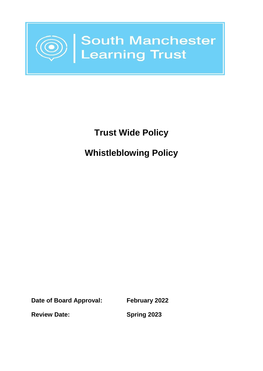

# **Trust Wide Policy Whistleblowing Policy**

**Date of Board Approval: February 2022**

**Review Date: Spring 2023**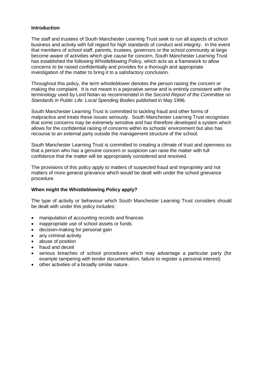#### **Introduction**

The staff and trustees of South Manchester Learning Trust seek to run all aspects of school business and activity with full regard for high standards of conduct and integrity. In the event that members of school staff, parents, trustees, governors or the school community at large become aware of activities which give cause for concern, South Manchester Learning Trust has established the following Whistleblowing Policy, which acts as a framework to allow concerns to be raised confidentially and provides for a thorough and appropriate investigation of the matter to bring it to a satisfactory conclusion.

Throughout this policy, the term *whistleblower* denotes the person raising the concern or making the complaint. It is not meant in a pejorative sense and is entirely consistent with the terminology used by Lord Nolan as recommended in the *Second Report of the Committee on Standards in Public Life: Local Spending Bodies* published in May 1996*.*

South Manchester Learning Trust is committed to tackling fraud and other forms of malpractice and treats these issues seriously. South Manchester Learning Trust recognises that some concerns may be extremely sensitive and has therefore developed a system which allows for the confidential raising of concerns within its schools' environment but also has recourse to an external party outside the management structure of the school.

South Manchester Learning Trust is committed to creating a climate of trust and openness so that a person who has a genuine concern or suspicion can raise the matter with full confidence that the matter will be appropriately considered and resolved.

The provisions of this policy apply to matters of suspected fraud and impropriety and not matters of more general grievance which would be dealt with under the school grievance procedure.

#### **When might the Whistleblowing Policy apply?**

The type of activity or behaviour which South Manchester Learning Trust considers should be dealt with under this policy includes:

- manipulation of accounting records and finances
- inappropriate use of school assets or funds
- decision-making for personal gain
- any criminal activity
- abuse of position
- fraud and deceit
- serious breaches of school procedures which may advantage a particular party (for example tampering with tender documentation, failure to register a personal interest)
- other activities of a broadly similar nature.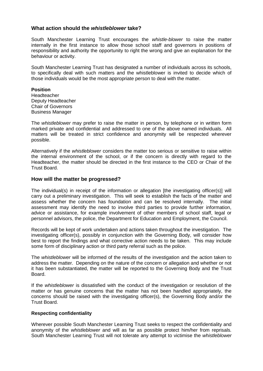# **What action should the** *whistleblower* **take?**

South Manchester Learning Trust encourages the *whistle-blower* to raise the matter internally in the first instance to allow those school staff and governors in positions of responsibility and authority the opportunity to right the wrong and give an explanation for the behaviour or activity.

South Manchester Learning Trust has designated a number of individuals across its schools, to specifically deal with such matters and the whistleblower is invited to decide which of those individuals would be the most appropriate person to deal with the matter.

## **Position**

**Headteacher** Deputy Headteacher Chair of Governors Business Manager

The *whistleblower* may prefer to raise the matter in person, by telephone or in written form marked private and confidential and addressed to one of the above named individuals. All matters will be treated in strict confidence and anonymity will be respected wherever possible.

Alternatively if the *whistleblower* considers the matter too serious or sensitive to raise within the internal environment of the school, or if the concern is directly with regard to the Headteacher, the matter should be directed in the first instance to the CEO or Chair of the Trust Board.

# **How will the matter be progressed?**

The individual(s) in receipt of the information or allegation [the investigating officer(s)] will carry out a preliminary investigation. This will seek to establish the facts of the matter and assess whether the concern has foundation and can be resolved internally. The initial assessment may identify the need to involve third parties to provide further information, advice or assistance, for example involvement of other members of school staff, legal or personnel advisors, the police, the Department for Education and Employment, the Council.

Records will be kept of work undertaken and actions taken throughout the investigation. The investigating officer(s), possibly in conjunction with the Governing Body, will consider how best to report the findings and what corrective action needs to be taken. This may include some form of disciplinary action or third party referral such as the police.

The *whistleblower* will be informed of the results of the investigation and the action taken to address the matter. Depending on the nature of the concern or allegation and whether or not it has been substantiated, the matter will be reported to the Governing Body and the Trust Board.

If the *whistleblower* is dissatisfied with the conduct of the investigation or resolution of the matter or has genuine concerns that the matter has not been handled appropriately, the concerns should be raised with the investigating officer(s), the Governing Body and/or the Trust Board.

#### **Respecting confidentiality**

Wherever possible South Manchester Learning Trust seeks to respect the confidentiality and anonymity of the *whistleblower* and will as far as possible protect him/her from reprisals. South Manchester Learning Trust will not tolerate any attempt to victimise the *whistleblower*